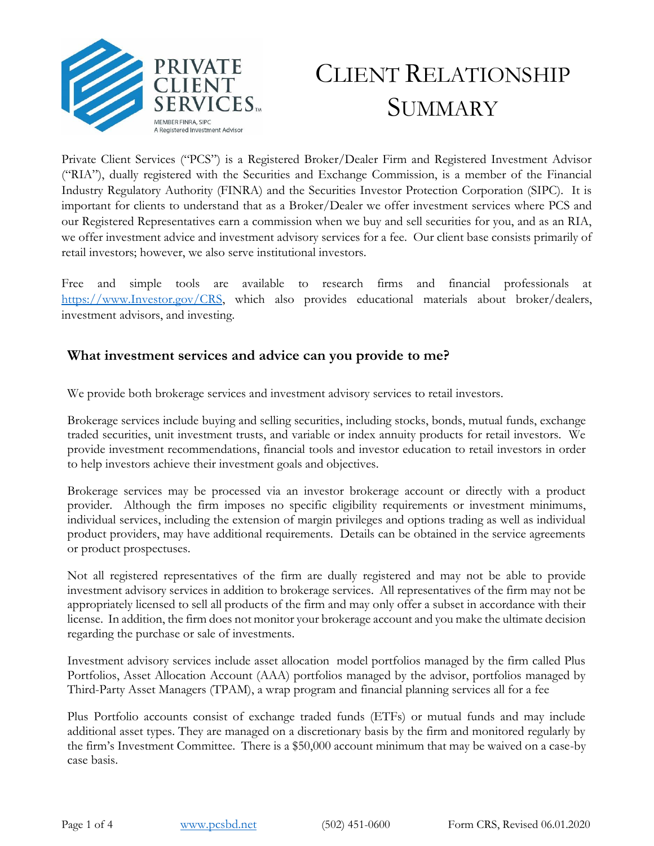

# CLIENT RELATIONSHIP **SUMMARY**

Private Client Services ("PCS") is a Registered Broker/Dealer Firm and Registered Investment Advisor ("RIA"), dually registered with the Securities and Exchange Commission, is a member of the Financial Industry Regulatory Authority (FINRA) and the Securities Investor Protection Corporation (SIPC). It is important for clients to understand that as a Broker/Dealer we offer investment services where PCS and our Registered Representatives earn a commission when we buy and sell securities for you, and as an RIA, we offer investment advice and investment advisory services for a fee. Our client base consists primarily of retail investors; however, we also serve institutional investors.

Free and simple tools are available to research firms and financial professionals at [https://www.Investor.gov/CRS,](https://www.investor.gov/CRS) which also provides educational materials about broker/dealers, investment advisors, and investing.

## **What investment services and advice can you provide to me?**

We provide both brokerage services and investment advisory services to retail investors.

Brokerage services include buying and selling securities, including stocks, bonds, mutual funds, exchange traded securities, unit investment trusts, and variable or index annuity products for retail investors. We provide investment recommendations, financial tools and investor education to retail investors in order to help investors achieve their investment goals and objectives.

Brokerage services may be processed via an investor brokerage account or directly with a product provider. Although the firm imposes no specific eligibility requirements or investment minimums, individual services, including the extension of margin privileges and options trading as well as individual product providers, may have additional requirements. Details can be obtained in the service agreements or product prospectuses.

Not all registered representatives of the firm are dually registered and may not be able to provide investment advisory services in addition to brokerage services. All representatives of the firm may not be appropriately licensed to sell all products of the firm and may only offer a subset in accordance with their license. In addition, the firm does not monitor your brokerage account and you make the ultimate decision regarding the purchase or sale of investments.

Investment advisory services include asset allocation model portfolios managed by the firm called Plus Portfolios, Asset Allocation Account (AAA) portfolios managed by the advisor, portfolios managed by Third-Party Asset Managers (TPAM), a wrap program and financial planning services all for a fee

Plus Portfolio accounts consist of exchange traded funds (ETFs) or mutual funds and may include additional asset types. They are managed on a discretionary basis by the firm and monitored regularly by the firm's Investment Committee. There is a \$50,000 account minimum that may be waived on a case-by case basis.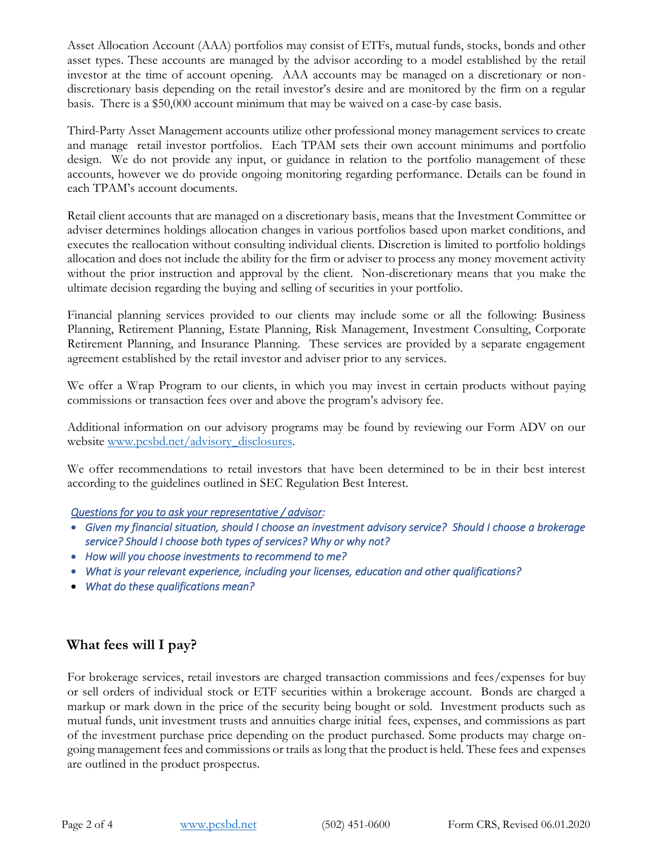Asset Allocation Account (AAA) portfolios may consist of ETFs, mutual funds, stocks, bonds and other asset types. These accounts are managed by the advisor according to a model established by the retail investor at the time of account opening. AAA accounts may be managed on a discretionary or nondiscretionary basis depending on the retail investor's desire and are monitored by the firm on a regular basis. There is a \$50,000 account minimum that may be waived on a case-by case basis.

Third-Party Asset Management accounts utilize other professional money management services to create and manage retail investor portfolios. Each TPAM sets their own account minimums and portfolio design. We do not provide any input, or guidance in relation to the portfolio management of these accounts, however we do provide ongoing monitoring regarding performance. Details can be found in each TPAM's account documents.

Retail client accounts that are managed on a discretionary basis, means that the Investment Committee or adviser determines holdings allocation changes in various portfolios based upon market conditions, and executes the reallocation without consulting individual clients. Discretion is limited to portfolio holdings allocation and does not include the ability for the firm or adviser to process any money movement activity without the prior instruction and approval by the client. Non-discretionary means that you make the ultimate decision regarding the buying and selling of securities in your portfolio.

Financial planning services provided to our clients may include some or all the following: Business Planning, Retirement Planning, Estate Planning, Risk Management, Investment Consulting, Corporate Retirement Planning, and Insurance Planning. These services are provided by a separate engagement agreement established by the retail investor and adviser prior to any services.

We offer a Wrap Program to our clients, in which you may invest in certain products without paying commissions or transaction fees over and above the program's advisory fee.

Additional information on our advisory programs may be found by reviewing our Form ADV on our website [www.pcsbd.net/advisory\\_](file://///kfgts/pcs/PCS%20Compliance/Regulation%20BI/www.pcsbd.net/advisory)disclosures.

We offer recommendations to retail investors that have been determined to be in their best interest according to the guidelines outlined in SEC Regulation Best Interest.

### *Questions for you to ask your representative / advisor:*

- *Given my financial situation, should I choose an investment advisory service? Should I choose a brokerage service? Should I choose both types of services? Why or why not?*
- *How will you choose investments to recommend to me?*
- *What is your relevant experience, including your licenses, education and other qualifications?*
- *What do these qualifications mean?*

# **What fees will I pay?**

For brokerage services, retail investors are charged transaction commissions and fees/expenses for buy or sell orders of individual stock or ETF securities within a brokerage account. Bonds are charged a markup or mark down in the price of the security being bought or sold. Investment products such as mutual funds, unit investment trusts and annuities charge initial fees, expenses, and commissions as part of the investment purchase price depending on the product purchased. Some products may charge ongoing management fees and commissions or trails as long that the product is held. These fees and expenses are outlined in the product prospectus.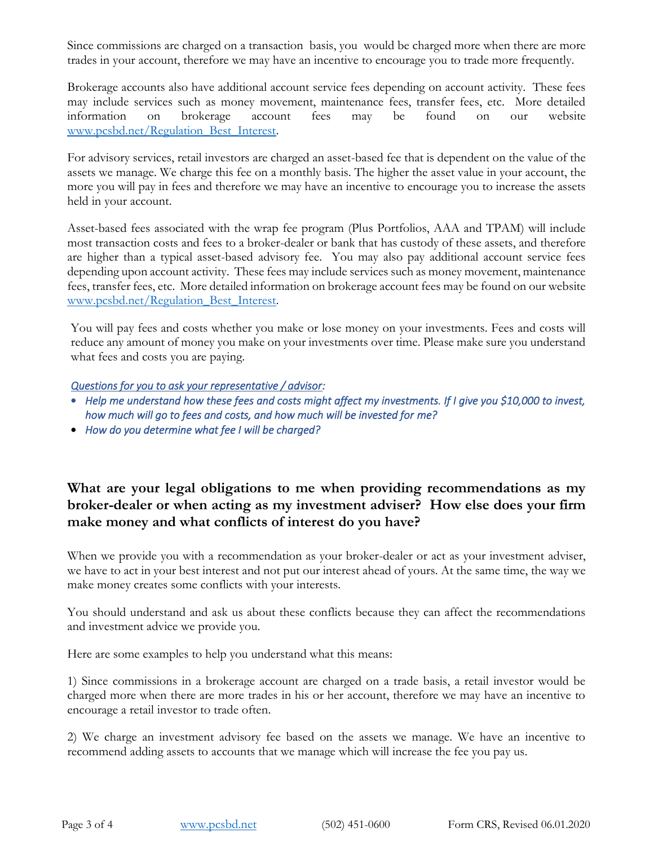Since commissions are charged on a transaction basis, you would be charged more when there are more trades in your account, therefore we may have an incentive to encourage you to trade more frequently.

Brokerage accounts also have additional account service fees depending on account activity. These fees may include services such as money movement, maintenance fees, transfer fees, etc. More detailed information on brokerage account fees may be found on our website www.pcsbd.net/Regulation Best Interest.

For advisory services, retail investors are charged an asset-based fee that is dependent on the value of the assets we manage. We charge this fee on a monthly basis. The higher the asset value in your account, the more you will pay in fees and therefore we may have an incentive to encourage you to increase the assets held in your account.

Asset-based fees associated with the wrap fee program (Plus Portfolios, AAA and TPAM) will include most transaction costs and fees to a broker-dealer or bank that has custody of these assets, and therefore are higher than a typical asset-based advisory fee. You may also pay additional account service fees depending upon account activity. These fees may include services such as money movement, maintenance fees, transfer fees, etc. More detailed information on brokerage account fees may be found on our website www.pcsbd.net/Regulation Best Interest.

You will pay fees and costs whether you make or lose money on your investments. Fees and costs will reduce any amount of money you make on your investments over time. Please make sure you understand what fees and costs you are paying.

#### *Questions for you to ask your representative / advisor:*

- *Help me understand how these fees and costs might affect my investments. If I give you \$10,000 to invest, how much will go to fees and costs, and how much will be invested for me?*
- *How do you determine what fee I will be charged?*

**What are your legal obligations to me when providing recommendations as my broker-dealer or when acting as my investment adviser? How else does your firm make money and what conflicts of interest do you have?**

When we provide you with a recommendation as your broker-dealer or act as your investment adviser, we have to act in your best interest and not put our interest ahead of yours. At the same time, the way we make money creates some conflicts with your interests.

You should understand and ask us about these conflicts because they can affect the recommendations and investment advice we provide you.

Here are some examples to help you understand what this means:

1) Since commissions in a brokerage account are charged on a trade basis, a retail investor would be charged more when there are more trades in his or her account, therefore we may have an incentive to encourage a retail investor to trade often.

2) We charge an investment advisory fee based on the assets we manage. We have an incentive to recommend adding assets to accounts that we manage which will increase the fee you pay us.